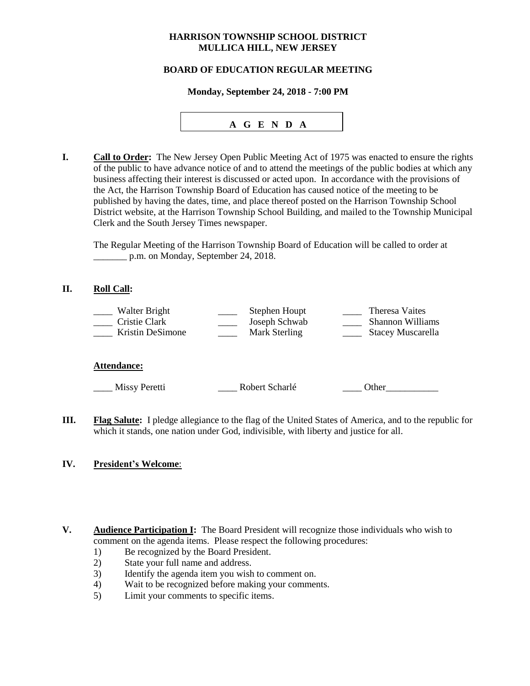## **HARRISON TOWNSHIP SCHOOL DISTRICT MULLICA HILL, NEW JERSEY**

## **BOARD OF EDUCATION REGULAR MEETING**

#### **Monday, September 24, 2018 - 7:00 PM**



**I. Call to Order:** The New Jersey Open Public Meeting Act of 1975 was enacted to ensure the rights of the public to have advance notice of and to attend the meetings of the public bodies at which any business affecting their interest is discussed or acted upon. In accordance with the provisions of the Act, the Harrison Township Board of Education has caused notice of the meeting to be published by having the dates, time, and place thereof posted on the Harrison Township School District website, at the Harrison Township School Building, and mailed to the Township Municipal Clerk and the South Jersey Times newspaper.

The Regular Meeting of the Harrison Township Board of Education will be called to order at \_\_\_\_\_\_\_ p.m. on Monday, September 24, 2018.

### **II. Roll Call:**

| Walter Bright    | Stephen Houpt | Theresa Vaites          |
|------------------|---------------|-------------------------|
| Cristie Clark    | Joseph Schwab | <b>Shannon Williams</b> |
| Kristin DeSimone | Mark Sterling | Stacey Muscarella       |
|                  |               |                         |

#### **Attendance:**

\_\_\_\_ Missy Peretti \_\_\_\_ Robert Scharlé \_\_\_\_ Other\_\_\_\_\_\_\_\_\_\_\_

**III. Flag Salute:** I pledge allegiance to the flag of the United States of America, and to the republic for which it stands, one nation under God, indivisible, with liberty and justice for all.

## **IV. President's Welcome**:

- **V. Audience Participation I:** The Board President will recognize those individuals who wish to comment on the agenda items. Please respect the following procedures:
	- 1) Be recognized by the Board President.
	- 2) State your full name and address.
	- 3) Identify the agenda item you wish to comment on.
	- 4) Wait to be recognized before making your comments.
	- 5) Limit your comments to specific items.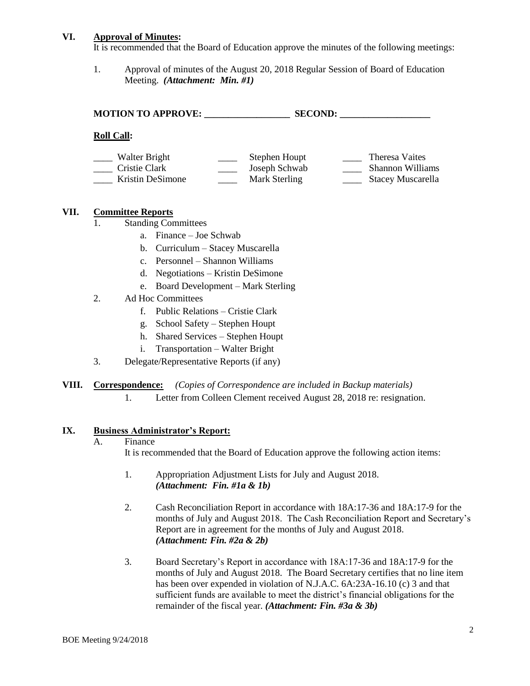### **VI. Approval of Minutes:**

It is recommended that the Board of Education approve the minutes of the following meetings:

1. Approval of minutes of the August 20, 2018 Regular Session of Board of Education Meeting. *(Attachment: Min. #1)*

**MOTION TO APPROVE: \_\_\_\_\_\_\_\_\_\_\_\_\_\_\_\_\_\_ SECOND: \_\_\_\_\_\_\_\_\_\_\_\_\_\_\_\_\_\_\_**

### **Roll Call:**

| Walter Bright    | Stephen Houpt | Theresa Vaites           |
|------------------|---------------|--------------------------|
| Cristie Clark    | Joseph Schwab | <b>Shannon Williams</b>  |
| Kristin DeSimone | Mark Sterling | <b>Stacey Muscarella</b> |

### **VII. Committee Reports**

- 1. Standing Committees
	- a. Finance Joe Schwab
	- b. Curriculum Stacey Muscarella
	- c. Personnel Shannon Williams
	- d. Negotiations Kristin DeSimone
	- e. Board Development Mark Sterling
- 2. Ad Hoc Committees
	- f. Public Relations Cristie Clark
	- g. School Safety *–* Stephen Houpt
	- h. Shared Services Stephen Houpt
	- i. Transportation Walter Bright
- 3. Delegate/Representative Reports (if any)

## **VIII. Correspondence:** *(Copies of Correspondence are included in Backup materials)*

1. Letter from Colleen Clement received August 28, 2018 re: resignation.

## **IX. Business Administrator's Report:**

#### A. Finance

It is recommended that the Board of Education approve the following action items:

- 1. Appropriation Adjustment Lists for July and August 2018. *(Attachment: Fin. #1a & 1b)*
- 2. Cash Reconciliation Report in accordance with 18A:17-36 and 18A:17-9 for the months of July and August 2018. The Cash Reconciliation Report and Secretary's Report are in agreement for the months of July and August 2018. *(Attachment: Fin. #2a & 2b)*
- 3. Board Secretary's Report in accordance with 18A:17-36 and 18A:17-9 for the months of July and August 2018. The Board Secretary certifies that no line item has been over expended in violation of N.J.A.C. 6A:23A-16.10 (c) 3 and that sufficient funds are available to meet the district's financial obligations for the remainder of the fiscal year. *(Attachment: Fin. #3a & 3b)*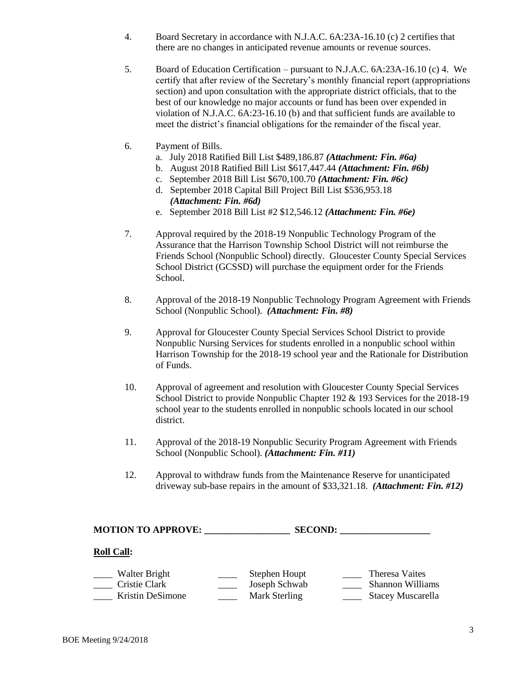- 4. Board Secretary in accordance with N.J.A.C. 6A:23A-16.10 (c) 2 certifies that there are no changes in anticipated revenue amounts or revenue sources.
- 5. Board of Education Certification pursuant to N.J.A.C. 6A:23A-16.10 (c) 4. We certify that after review of the Secretary's monthly financial report (appropriations section) and upon consultation with the appropriate district officials, that to the best of our knowledge no major accounts or fund has been over expended in violation of N.J.A.C. 6A:23-16.10 (b) and that sufficient funds are available to meet the district's financial obligations for the remainder of the fiscal year.
- 6. Payment of Bills.
	- a. July 2018 Ratified Bill List \$489,186.87 *(Attachment: Fin. #6a)*
	- b. August 2018 Ratified Bill List \$617,447.44 *(Attachment: Fin. #6b)*
	- c. September 2018 Bill List \$670,100.70 *(Attachment: Fin. #6c)*
	- d. September 2018 Capital Bill Project Bill List \$536,953.18  *(Attachment: Fin. #6d)*
	- e. September 2018 Bill List #2 \$12,546.12 *(Attachment: Fin. #6e)*
- 7. Approval required by the 2018-19 Nonpublic Technology Program of the Assurance that the Harrison Township School District will not reimburse the Friends School (Nonpublic School) directly. Gloucester County Special Services School District (GCSSD) will purchase the equipment order for the Friends School.
- 8. Approval of the 2018-19 Nonpublic Technology Program Agreement with Friends School (Nonpublic School). *(Attachment: Fin. #8)*
- 9. Approval for Gloucester County Special Services School District to provide Nonpublic Nursing Services for students enrolled in a nonpublic school within Harrison Township for the 2018-19 school year and the Rationale for Distribution of Funds.
- 10. Approval of agreement and resolution with Gloucester County Special Services School District to provide Nonpublic Chapter 192 & 193 Services for the 2018-19 school year to the students enrolled in nonpublic schools located in our school district.
- 11. Approval of the 2018-19 Nonpublic Security Program Agreement with Friends School (Nonpublic School). *(Attachment: Fin. #11)*
- 12. Approval to withdraw funds from the Maintenance Reserve for unanticipated driveway sub-base repairs in the amount of \$33,321.18. *(Attachment: Fin. #12)*

**MOTION TO APPROVE: \_\_\_\_\_\_\_\_\_\_\_\_\_\_\_\_\_\_ SECOND: \_\_\_\_\_\_\_\_\_\_\_\_\_\_\_\_\_\_\_**

## **Roll Call:**

Walter Bright \_\_\_\_\_\_ Stephen Houpt \_\_\_\_\_\_ Theresa Vaites<br>
Cristie Clark \_\_\_\_\_\_\_ Joseph Schwab \_\_\_\_\_\_ Shannon Willia \_\_\_\_ Cristie Clark \_\_\_\_ Joseph Schwab \_\_\_\_ Shannon Williams \_\_\_\_ Kristin DeSimone \_\_\_\_ Mark Sterling \_\_\_\_ Stacey Muscarella

BOE Meeting 9/24/2018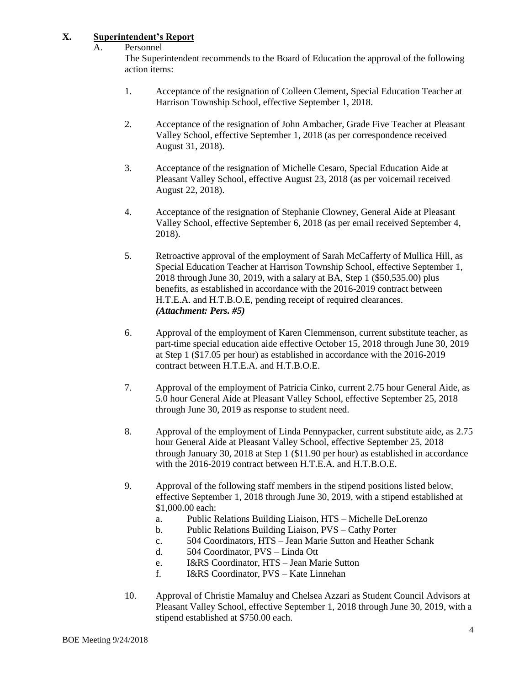## **X. Superintendent's Report**

A. Personnel

The Superintendent recommends to the Board of Education the approval of the following action items:

- 1. Acceptance of the resignation of Colleen Clement, Special Education Teacher at Harrison Township School, effective September 1, 2018.
- 2. Acceptance of the resignation of John Ambacher, Grade Five Teacher at Pleasant Valley School, effective September 1, 2018 (as per correspondence received August 31, 2018).
- 3. Acceptance of the resignation of Michelle Cesaro, Special Education Aide at Pleasant Valley School, effective August 23, 2018 (as per voicemail received August 22, 2018).
- 4. Acceptance of the resignation of Stephanie Clowney, General Aide at Pleasant Valley School, effective September 6, 2018 (as per email received September 4, 2018).
- 5. Retroactive approval of the employment of Sarah McCafferty of Mullica Hill, as Special Education Teacher at Harrison Township School, effective September 1, 2018 through June 30, 2019, with a salary at BA, Step 1 (\$50,535.00) plus benefits, as established in accordance with the 2016-2019 contract between H.T.E.A. and H.T.B.O.E, pending receipt of required clearances. *(Attachment: Pers. #5)*
- 6. Approval of the employment of Karen Clemmenson, current substitute teacher, as part-time special education aide effective October 15, 2018 through June 30, 2019 at Step 1 (\$17.05 per hour) as established in accordance with the 2016-2019 contract between H.T.E.A. and H.T.B.O.E.
- 7. Approval of the employment of Patricia Cinko, current 2.75 hour General Aide, as 5.0 hour General Aide at Pleasant Valley School, effective September 25, 2018 through June 30, 2019 as response to student need.
- 8. Approval of the employment of Linda Pennypacker, current substitute aide, as 2.75 hour General Aide at Pleasant Valley School, effective September 25, 2018 through January 30, 2018 at Step 1 (\$11.90 per hour) as established in accordance with the 2016-2019 contract between H.T.E.A. and H.T.B.O.E.
- 9. Approval of the following staff members in the stipend positions listed below, effective September 1, 2018 through June 30, 2019, with a stipend established at \$1,000.00 each:
	- a. Public Relations Building Liaison, HTS Michelle DeLorenzo
	- b. Public Relations Building Liaison, PVS Cathy Porter
	- c. 504 Coordinators, HTS Jean Marie Sutton and Heather Schank
	- d. 504 Coordinator, PVS Linda Ott
	- e. I&RS Coordinator, HTS Jean Marie Sutton
	- f. I&RS Coordinator, PVS Kate Linnehan
- 10. Approval of Christie Mamaluy and Chelsea Azzari as Student Council Advisors at Pleasant Valley School, effective September 1, 2018 through June 30, 2019, with a stipend established at \$750.00 each.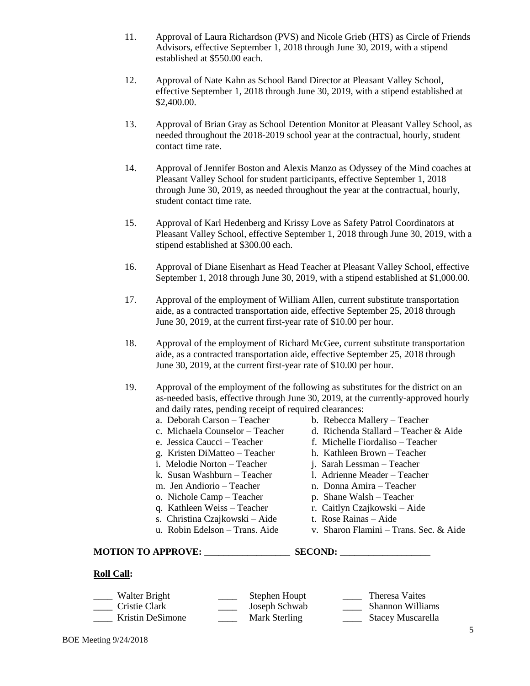- 11. Approval of Laura Richardson (PVS) and Nicole Grieb (HTS) as Circle of Friends Advisors, effective September 1, 2018 through June 30, 2019, with a stipend established at \$550.00 each.
- 12. Approval of Nate Kahn as School Band Director at Pleasant Valley School, effective September 1, 2018 through June 30, 2019, with a stipend established at \$2,400.00.
- 13. Approval of Brian Gray as School Detention Monitor at Pleasant Valley School, as needed throughout the 2018-2019 school year at the contractual, hourly, student contact time rate.
- 14. Approval of Jennifer Boston and Alexis Manzo as Odyssey of the Mind coaches at Pleasant Valley School for student participants, effective September 1, 2018 through June 30, 2019, as needed throughout the year at the contractual, hourly, student contact time rate.
- 15. Approval of Karl Hedenberg and Krissy Love as Safety Patrol Coordinators at Pleasant Valley School, effective September 1, 2018 through June 30, 2019, with a stipend established at \$300.00 each.
- 16. Approval of Diane Eisenhart as Head Teacher at Pleasant Valley School, effective September 1, 2018 through June 30, 2019, with a stipend established at \$1,000.00.
- 17. Approval of the employment of William Allen, current substitute transportation aide, as a contracted transportation aide, effective September 25, 2018 through June 30, 2019, at the current first-year rate of \$10.00 per hour.
- 18. Approval of the employment of Richard McGee, current substitute transportation aide, as a contracted transportation aide, effective September 25, 2018 through June 30, 2019, at the current first-year rate of \$10.00 per hour.
- 19. Approval of the employment of the following as substitutes for the district on an as-needed basis, effective through June 30, 2019, at the currently-approved hourly and daily rates, pending receipt of required clearances:
	-
	-
	- e. Jessica Caucci Teacher f. Michelle Fiordaliso Teacher
	- g. Kristen DiMatteo Teacher h. Kathleen Brown Teacher
	- i. Melodie Norton Teacher i. Sarah Lessman Teacher
	- k. Susan Washburn Teacher 1. Adrienne Meader Teacher
	-
	- o. Nichole Camp Teacher p. Shane Walsh Teacher
	-
	- s. Christina Czajkowski Aide t. Rose Rainas Aide
	-
- a. Deborah Carson Teacher b. Rebecca Mallery Teacher
- c. Michaela Counselor Teacher d. Richenda Stallard Teacher & Aide
	-
	-
	-
	-
- m. Jen Andiorio Teacher n. Donna Amira Teacher
	-
- q. Kathleen Weiss Teacher r. Caitlyn Czajkowski Aide
	-
- u. Robin Edelson Trans. Aide v. Sharon Flamini Trans. Sec. & Aide

#### **MOTION TO APPROVE: \_\_\_\_\_\_\_\_\_\_\_\_\_\_\_\_\_\_ SECOND: \_\_\_\_\_\_\_\_\_\_\_\_\_\_\_\_\_\_\_**

#### **Roll Call:**

| Walter Bright    | Stephen Houpt | Theresa Vaites          |
|------------------|---------------|-------------------------|
| Cristie Clark    | Joseph Schwab | <b>Shannon Williams</b> |
| Kristin DeSimone | Mark Sterling | Stacey Muscarella       |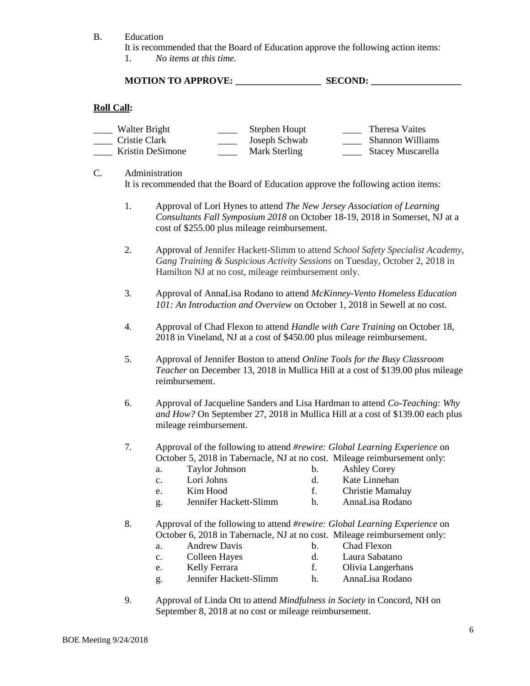B. Education

It is recommended that the Board of Education approve the following action items:

1. *No items at this time.*

## **MOTION TO APPROVE: \_\_\_\_\_\_\_\_\_\_\_\_\_\_\_\_\_\_ SECOND: \_\_\_\_\_\_\_\_\_\_\_\_\_\_\_\_\_\_\_**

### **Roll Call:**

| Walter Bright    | Stephen Houpt | Theresa Vaites          |
|------------------|---------------|-------------------------|
| Cristie Clark    | Joseph Schwab | <b>Shannon Williams</b> |
| Kristin DeSimone | Mark Sterling | Stacey Muscarella       |

C. Administration

It is recommended that the Board of Education approve the following action items:

- 1. Approval of Lori Hynes to attend *The New Jersey Association of Learning Consultants Fall Symposium 2018* on October 18-19, 2018 in Somerset, NJ at a cost of \$255.00 plus mileage reimbursement.
- 2. Approval of Jennifer Hackett-Slimm to attend *School Safety Specialist Academy, Gang Training & Suspicious Activity Sessions* on Tuesday, October 2, 2018 in Hamilton NJ at no cost, mileage reimbursement only.
- 3. Approval of AnnaLisa Rodano to attend *McKinney-Vento Homeless Education 101: An Introduction and Overview* on October 1, 2018 in Sewell at no cost.
- 4. Approval of Chad Flexon to attend *Handle with Care Training* on October 18, 2018 in Vineland, NJ at a cost of \$450.00 plus mileage reimbursement.
- 5. Approval of Jennifer Boston to attend *Online Tools for the Busy Classroom Teacher* on December 13, 2018 in Mullica Hill at a cost of \$139.00 plus mileage reimbursement.
- 6. Approval of Jacqueline Sanders and Lisa Hardman to attend *Co-Teaching: Why and How?* On September 27, 2018 in Mullica Hill at a cost of \$139.00 each plus mileage reimbursement.
- 7. Approval of the following to attend *#rewire: Global Learning Experience* on October 5, 2018 in Tabernacle, NJ at no cost. Mileage reimbursement only:
	- a. Taylor Johnson b. Ashley Corey
	- c. Lori Johns d. Kate Linnehan
	-
- 
- e. Kim Hood f. Christie Mamaluy<br>g. Jennifer Hackett-Slimm h. AnnaLisa Rodano g. Jennifer Hackett-Slimm h.
- 8. Approval of the following to attend *#rewire: Global Learning Experience* on October 6, 2018 in Tabernacle, NJ at no cost. Mileage reimbursement only:
	-
	- a. Andrew Davis b. Chad Flexon
	- c. Colleen Hayes d. Laura Sabatano
- -
- 
- e. Kelly Ferrara f. Olivia Langerhans
- g. Jennifer Hackett-Slimm h. AnnaLisa Rodano
- 9. Approval of Linda Ott to attend *Mindfulness in Society* in Concord, NH on September 8, 2018 at no cost or mileage reimbursement.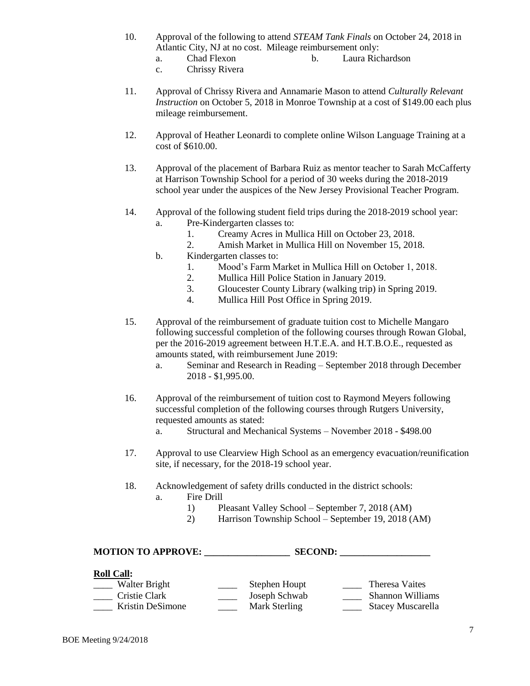- 10. Approval of the following to attend *STEAM Tank Finals* on October 24, 2018 in Atlantic City, NJ at no cost. Mileage reimbursement only:
	- a. Chad Flexon b. Laura Richardson
	- c. Chrissy Rivera
- 11. Approval of Chrissy Rivera and Annamarie Mason to attend *Culturally Relevant Instruction* on October 5, 2018 in Monroe Township at a cost of \$149.00 each plus mileage reimbursement.
- 12. Approval of Heather Leonardi to complete online Wilson Language Training at a cost of \$610.00.
- 13. Approval of the placement of Barbara Ruiz as mentor teacher to Sarah McCafferty at Harrison Township School for a period of 30 weeks during the 2018-2019 school year under the auspices of the New Jersey Provisional Teacher Program.
- 14. Approval of the following student field trips during the 2018-2019 school year:
	- a. Pre-Kindergarten classes to:
		- 1. Creamy Acres in Mullica Hill on October 23, 2018.
		- 2. Amish Market in Mullica Hill on November 15, 2018.
	- b. Kindergarten classes to:
		- 1. Mood's Farm Market in Mullica Hill on October 1, 2018.
		- 2. Mullica Hill Police Station in January 2019.
		- 3. Gloucester County Library (walking trip) in Spring 2019.
		- 4. Mullica Hill Post Office in Spring 2019.
- 15. Approval of the reimbursement of graduate tuition cost to Michelle Mangaro following successful completion of the following courses through Rowan Global, per the 2016-2019 agreement between H.T.E.A. and H.T.B.O.E., requested as amounts stated, with reimbursement June 2019:
	- a. Seminar and Research in Reading September 2018 through December 2018 - \$1,995.00.
- 16. Approval of the reimbursement of tuition cost to Raymond Meyers following successful completion of the following courses through Rutgers University, requested amounts as stated:
	- a. Structural and Mechanical Systems November 2018 \$498.00
- 17. Approval to use Clearview High School as an emergency evacuation/reunification site, if necessary, for the 2018-19 school year.
- 18. Acknowledgement of safety drills conducted in the district schools:
	- a. Fire Drill
		- 1) Pleasant Valley School September 7, 2018 (AM)
		- 2) Harrison Township School September 19, 2018 (AM)

## **MOTION TO APPROVE: \_\_\_\_\_\_\_\_\_\_\_\_\_\_\_\_\_\_ SECOND: \_\_\_\_\_\_\_\_\_\_\_\_\_\_\_\_\_\_\_**

## **Roll Call:**

| Walter Bright    | Stephen Houpt | Theresa Vaites           |
|------------------|---------------|--------------------------|
| Cristie Clark    | Joseph Schwab | <b>Shannon Williams</b>  |
| Kristin DeSimone | Mark Sterling | <b>Stacey Muscarella</b> |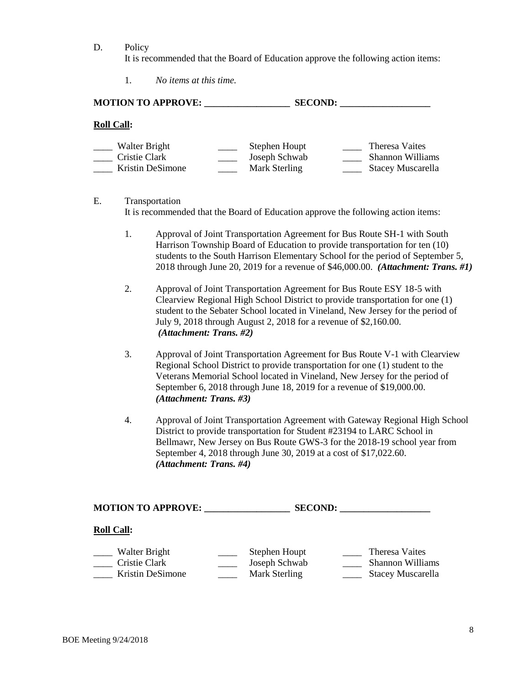D. Policy

It is recommended that the Board of Education approve the following action items:

1. *No items at this time.*

| <b>MOTION TO APPROVE:</b>                          |                                                 | <b>SECOND:</b> |                                                                |
|----------------------------------------------------|-------------------------------------------------|----------------|----------------------------------------------------------------|
| <b>Roll Call:</b>                                  |                                                 |                |                                                                |
| Walter Bright<br>Cristie Clark<br>Kristin DeSimone | Stephen Houpt<br>Joseph Schwab<br>Mark Sterling |                | Theresa Vaites<br><b>Shannon Williams</b><br>Stacey Muscarella |

E. Transportation It is recommended that the Board of Education approve the following action items:

- 1. Approval of Joint Transportation Agreement for Bus Route SH-1 with South Harrison Township Board of Education to provide transportation for ten (10) students to the South Harrison Elementary School for the period of September 5, 2018 through June 20, 2019 for a revenue of \$46,000.00. *(Attachment: Trans. #1)*
- 2. Approval of Joint Transportation Agreement for Bus Route ESY 18-5 with Clearview Regional High School District to provide transportation for one (1) student to the Sebater School located in Vineland, New Jersey for the period of July 9, 2018 through August 2, 2018 for a revenue of \$2,160.00. *(Attachment: Trans. #2)*
- 3. Approval of Joint Transportation Agreement for Bus Route V-1 with Clearview Regional School District to provide transportation for one (1) student to the Veterans Memorial School located in Vineland, New Jersey for the period of September 6, 2018 through June 18, 2019 for a revenue of \$19,000.00. *(Attachment: Trans. #3)*
- 4. Approval of Joint Transportation Agreement with Gateway Regional High School District to provide transportation for Student #23194 to LARC School in Bellmawr, New Jersey on Bus Route GWS-3 for the 2018-19 school year from September 4, 2018 through June 30, 2019 at a cost of \$17,022.60. *(Attachment: Trans. #4)*

**MOTION TO APPROVE: \_\_\_\_\_\_\_\_\_\_\_\_\_\_\_\_\_\_ SECOND: \_\_\_\_\_\_\_\_\_\_\_\_\_\_\_\_\_\_\_**

#### **Roll Call:**

| Walter Bright    | Stephen Houpt | Theresa Vaites           |
|------------------|---------------|--------------------------|
| Cristie Clark    | Joseph Schwab | <b>Shannon Williams</b>  |
| Kristin DeSimone | Mark Sterling | <b>Stacey Muscarella</b> |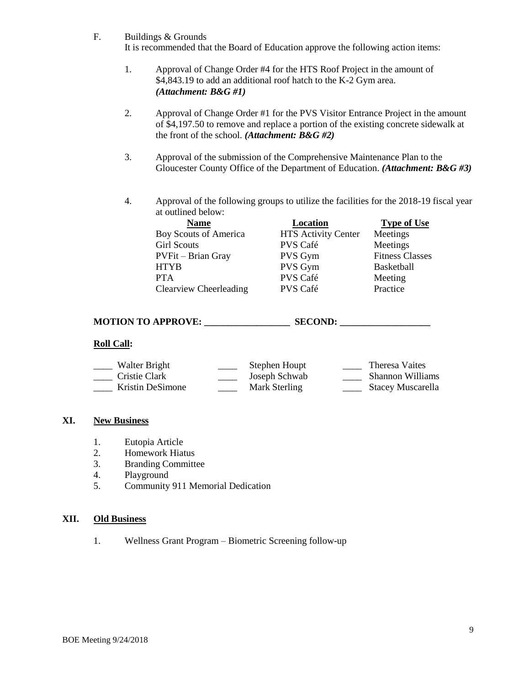F. Buildings & Grounds

It is recommended that the Board of Education approve the following action items:

- 1. Approval of Change Order #4 for the HTS Roof Project in the amount of \$4,843.19 to add an additional roof hatch to the K-2 Gym area. *(Attachment: B&G #1)*
- 2. Approval of Change Order #1 for the PVS Visitor Entrance Project in the amount of \$4,197.50 to remove and replace a portion of the existing concrete sidewalk at the front of the school. *(Attachment: B&G #2)*
- 3. Approval of the submission of the Comprehensive Maintenance Plan to the Gloucester County Office of the Department of Education. *(Attachment: B&G #3)*
- 4. Approval of the following groups to utilize the facilities for the 2018-19 fiscal year at outlined below:

| <b>Name</b>                  | Location                   | <b>Type of Use</b>     |
|------------------------------|----------------------------|------------------------|
| <b>Boy Scouts of America</b> | <b>HTS Activity Center</b> | Meetings               |
| <b>Girl Scouts</b>           | PVS Café                   | Meetings               |
| PVFit - Brian Gray           | <b>PVS Gym</b>             | <b>Fitness Classes</b> |
| HTYB                         | PVS Gym                    | Basketball             |
| <b>PTA</b>                   | PVS Café                   | Meeting                |
| Clearview Cheerleading       | PVS Café                   | Practice               |

## **MOTION TO APPROVE: \_\_\_\_\_\_\_\_\_\_\_\_\_\_\_\_\_\_ SECOND: \_\_\_\_\_\_\_\_\_\_\_\_\_\_\_\_\_\_\_**

#### **Roll Call:**

| Walter Bright    | Stephen Houpt | Theresa Vaites          |
|------------------|---------------|-------------------------|
| Cristie Clark    | Joseph Schwab | <b>Shannon Williams</b> |
| Kristin DeSimone | Mark Sterling | Stacey Muscarella       |

## **XI. New Business**

- 1. Eutopia Article<br>2. Homework Hiat
- Homework Hiatus
- 3. Branding Committee
- 4. Playground
- 5. Community 911 Memorial Dedication

### **XII. Old Business**

1. Wellness Grant Program – Biometric Screening follow-up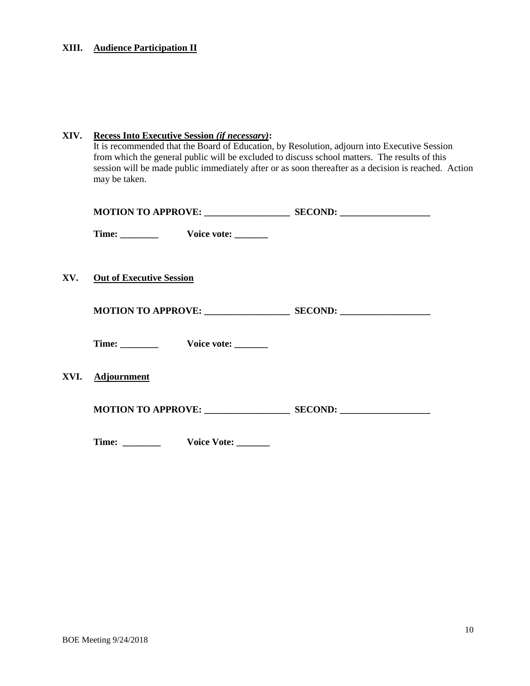# **XIII. Audience Participation II**

| XIV. | <b>Recess Into Executive Session (if necessary):</b><br>It is recommended that the Board of Education, by Resolution, adjourn into Executive Session<br>from which the general public will be excluded to discuss school matters. The results of this<br>session will be made public immediately after or as soon thereafter as a decision is reached. Action<br>may be taken. |                          |                            |  |  |
|------|--------------------------------------------------------------------------------------------------------------------------------------------------------------------------------------------------------------------------------------------------------------------------------------------------------------------------------------------------------------------------------|--------------------------|----------------------------|--|--|
|      |                                                                                                                                                                                                                                                                                                                                                                                |                          |                            |  |  |
|      |                                                                                                                                                                                                                                                                                                                                                                                | Time: Voice vote: ______ |                            |  |  |
| XV.  | <b>Out of Executive Session</b>                                                                                                                                                                                                                                                                                                                                                |                          |                            |  |  |
|      |                                                                                                                                                                                                                                                                                                                                                                                | Time: Voice vote: ______ |                            |  |  |
| XVI. | <b>Adjournment</b>                                                                                                                                                                                                                                                                                                                                                             |                          |                            |  |  |
|      |                                                                                                                                                                                                                                                                                                                                                                                |                          | MOTION TO APPROVE: SECOND: |  |  |
|      |                                                                                                                                                                                                                                                                                                                                                                                | Time: Voice Vote:        |                            |  |  |